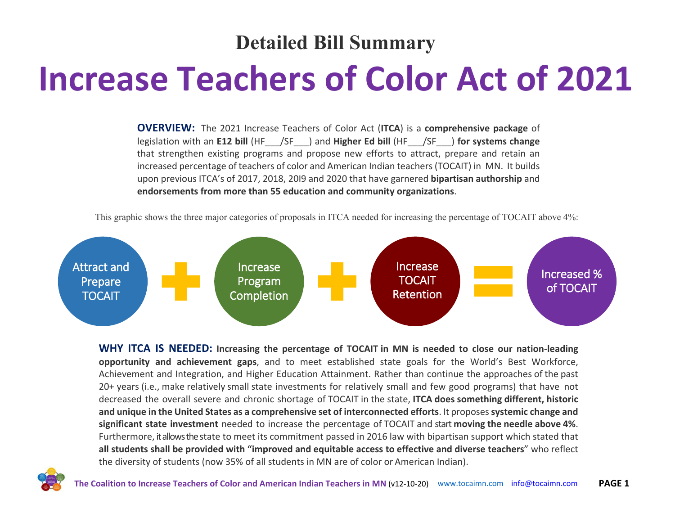### **Detailed Bill Summary**

# **Increase Teachers of Color Act of 2021**

**OVERVIEW:** The 2021 Increase Teachers of Color Act (**ITCA**) is a **comprehensive package** of legislation with an **E12 bill** (HF\_\_\_/SF\_\_\_) and **Higher Ed bill** (HF\_\_\_/SF\_\_\_) **for systems change** that strengthen existing programs and propose new efforts to attract, prepare and retain an increased percentage of teachers of color and American Indian teachers (TOCAIT) in MN. It builds upon previous ITCA's of 2017, 2018, 20I9 and 2020 that have garnered **bipartisan authorship** and **endorsements from more than 55 education and community organizations**.

This graphic shows the three major categories of proposals in ITCA needed for increasing the percentage of TOCAIT above 4%:



**WHY ITCA IS NEEDED: Increasing the percentage of TOCAIT in MN is needed to close our nation-leading opportunity and achievement gaps**, and to meet established state goals for the World's Best Workforce, Achievement and Integration, and Higher Education Attainment. Rather than continue the approaches of the past 20+ years (i.e., make relatively small state investments for relatively small and few good programs) that have not decreased the overall severe and chronic shortage of TOCAIT in the state, **ITCA does something different, historic and unique in the United States as a comprehensive set of interconnected efforts**. It proposes **systemic change and significant state investment** needed to increase the percentage of TOCAIT and start **moving the needle above 4%**. Furthermore, it allows the state to meet its commitment passed in 2016 law with bipartisan support which stated that **all students shall be provided with "improved and equitable access to effective and diverse teachers**" who reflect the diversity of students (now 35% of all students in MN are of color or American Indian).

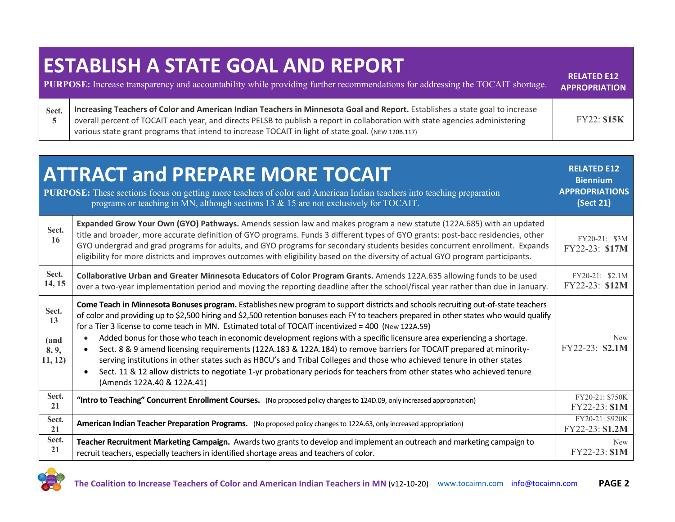### **ESTABLISH A STATE GOAL AND REPORT**

| <b>PURPOSE:</b> Increase transparency and accountability while providing further recommendations for addressing the TOCAIT shortage. |                                                                                                                                                                                                                                                                                                                                                                     |             |
|--------------------------------------------------------------------------------------------------------------------------------------|---------------------------------------------------------------------------------------------------------------------------------------------------------------------------------------------------------------------------------------------------------------------------------------------------------------------------------------------------------------------|-------------|
| Sect.                                                                                                                                | Increasing Teachers of Color and American Indian Teachers in Minnesota Goal and Report. Establishes a state goal to increase<br>overall percent of TOCAIT each year, and directs PELSB to publish a report in collaboration with state agencies administering<br>various state grant programs that intend to increase TOCAIT in light of state goal. (NEW 120B.117) | FY22: \$15K |

**RELATED E12** 

|                                         | <b>ATTRACT and PREPARE MORE TOCAIT</b><br>PURPOSE: These sections focus on getting more teachers of color and American Indian teachers into teaching preparation<br>programs or teaching in MN, although sections 13 & 15 are not exclusively for TOCAIT.                                                                                                                                                                                                                                                                                                                                                                                                                                                                                                                                                                                                                                                                 | <b>RELATED E12</b><br><b>Biennium</b><br><b>APPROPRIATIONS</b><br>(Sect 21) |
|-----------------------------------------|---------------------------------------------------------------------------------------------------------------------------------------------------------------------------------------------------------------------------------------------------------------------------------------------------------------------------------------------------------------------------------------------------------------------------------------------------------------------------------------------------------------------------------------------------------------------------------------------------------------------------------------------------------------------------------------------------------------------------------------------------------------------------------------------------------------------------------------------------------------------------------------------------------------------------|-----------------------------------------------------------------------------|
| Sect.<br>16                             | Expanded Grow Your Own (GYO) Pathways. Amends session law and makes program a new statute (122A.685) with an updated<br>title and broader, more accurate definition of GYO programs. Funds 3 different types of GYO grants: post-bacc residencies, other<br>GYO undergrad and grad programs for adults, and GYO programs for secondary students besides concurrent enrollment. Expands<br>eligibility for more districts and improves outcomes with eligibility based on the diversity of actual GYO program participants.                                                                                                                                                                                                                                                                                                                                                                                                | FY20-21: \$3M<br>FY22-23: \$17M                                             |
| Sect.<br>14, 15                         | Collaborative Urban and Greater Minnesota Educators of Color Program Grants. Amends 122A.635 allowing funds to be used<br>over a two-year implementation period and moving the reporting deadline after the school/fiscal year rather than due in January.                                                                                                                                                                                                                                                                                                                                                                                                                                                                                                                                                                                                                                                                | FY20-21: \$2.1M<br>FY22-23: \$12M                                           |
| Sect.<br>13<br>(and<br>8, 9,<br>11, 12) | Come Teach in Minnesota Bonuses program. Establishes new program to support districts and schools recruiting out-of-state teachers<br>of color and providing up to \$2,500 hiring and \$2,500 retention bonuses each FY to teachers prepared in other states who would qualify<br>for a Tier 3 license to come teach in MN. Estimated total of TOCAIT incentivized = 400 (New 122A.59)<br>Added bonus for those who teach in economic development regions with a specific licensure area experiencing a shortage.<br>Sect. 8 & 9 amend licensing requirements (122A.183 & 122A.184) to remove barriers for TOCAIT prepared at minority-<br>serving institutions in other states such as HBCU's and Tribal Colleges and those who achieved tenure in other states<br>Sect. 11 & 12 allow districts to negotiate 1-yr probationary periods for teachers from other states who achieved tenure<br>(Amends 122A.40 & 122A.41) | <b>New</b><br>FY22-23: \$2.1M                                               |
| Sect.<br>21                             | "Intro to Teaching" Concurrent Enrollment Courses. (No proposed policy changes to 124D.09, only increased appropriation)                                                                                                                                                                                                                                                                                                                                                                                                                                                                                                                                                                                                                                                                                                                                                                                                  | FY20-21: \$750K<br>FY22-23: \$1M                                            |
| Sect.<br>21                             | American Indian Teacher Preparation Programs. (No proposed policy changes to 122A.63, only increased appropriation)                                                                                                                                                                                                                                                                                                                                                                                                                                                                                                                                                                                                                                                                                                                                                                                                       | FY20-21: \$920K<br>FY22-23: \$1.2M                                          |
| Sect.<br>21                             | Teacher Recruitment Marketing Campaign. Awards two grants to develop and implement an outreach and marketing campaign to<br>recruit teachers, especially teachers in identified shortage areas and teachers of color.                                                                                                                                                                                                                                                                                                                                                                                                                                                                                                                                                                                                                                                                                                     | New<br>$FY22-23: $1M$                                                       |

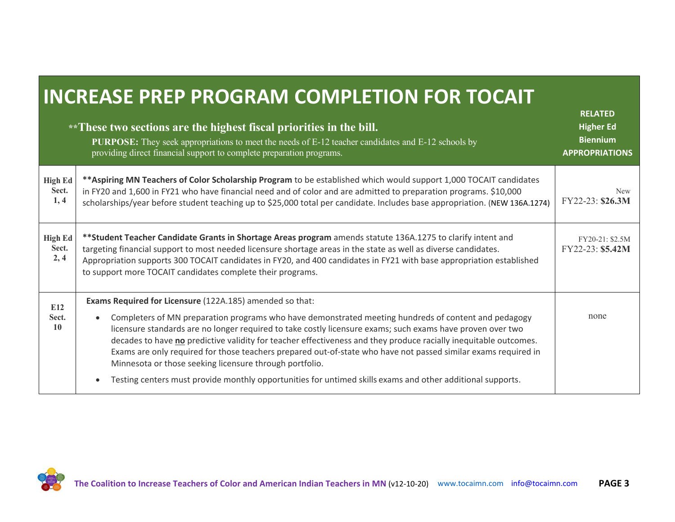# **INCREASE PREP PROGRAM COMPLETION FOR TOCAIT**

|                                 | **These two sections are the highest fiscal priorities in the bill.<br><b>PURPOSE:</b> They seek appropriations to meet the needs of E-12 teacher candidates and E-12 schools by<br>providing direct financial support to complete preparation programs.                                                                                                                                                                                                                                                                                                                                                                                                                                                   | <b>RELATED</b><br><b>Higher Ed</b><br><b>Biennium</b><br><b>APPROPRIATIONS</b> |
|---------------------------------|------------------------------------------------------------------------------------------------------------------------------------------------------------------------------------------------------------------------------------------------------------------------------------------------------------------------------------------------------------------------------------------------------------------------------------------------------------------------------------------------------------------------------------------------------------------------------------------------------------------------------------------------------------------------------------------------------------|--------------------------------------------------------------------------------|
| <b>High Ed</b><br>Sect.<br>1,4  | ** Aspiring MN Teachers of Color Scholarship Program to be established which would support 1,000 TOCAIT candidates<br>in FY20 and 1,600 in FY21 who have financial need and of color and are admitted to preparation programs. \$10,000<br>scholarships/year before student teaching up to \$25,000 total per candidate. Includes base appropriation. (NEW 136A.1274)                                                                                                                                                                                                                                                                                                                                      | <b>New</b><br>FY22-23: \$26.3M                                                 |
| <b>High Ed</b><br>Sect.<br>2, 4 | **Student Teacher Candidate Grants in Shortage Areas program amends statute 136A.1275 to clarify intent and<br>targeting financial support to most needed licensure shortage areas in the state as well as diverse candidates.<br>Appropriation supports 300 TOCAIT candidates in FY20, and 400 candidates in FY21 with base appropriation established<br>to support more TOCAIT candidates complete their programs.                                                                                                                                                                                                                                                                                       | FY20-21: \$2.5M<br>FY22-23: \$5.42M                                            |
| E12<br>Sect.<br>10              | Exams Required for Licensure (122A.185) amended so that:<br>Completers of MN preparation programs who have demonstrated meeting hundreds of content and pedagogy<br>licensure standards are no longer required to take costly licensure exams; such exams have proven over two<br>decades to have no predictive validity for teacher effectiveness and they produce racially inequitable outcomes.<br>Exams are only required for those teachers prepared out-of-state who have not passed similar exams required in<br>Minnesota or those seeking licensure through portfolio.<br>Testing centers must provide monthly opportunities for untimed skills exams and other additional supports.<br>$\bullet$ | none                                                                           |

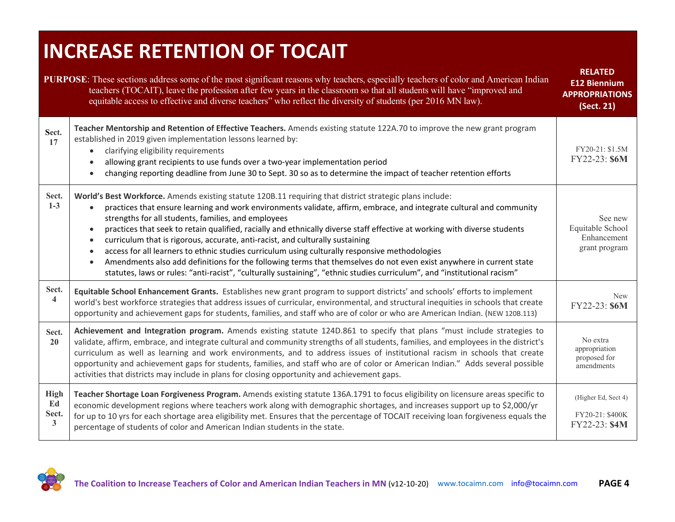# **INCREASE RETENTION OF TOCAIT**

| <b>PURPOSE:</b> These sections address some of the most significant reasons why teachers, especially teachers of color and American Indian<br>teachers (TOCAIT), leave the profession after few years in the classroom so that all students will have "improved and<br>equitable access to effective and diverse teachers" who reflect the diversity of students (per 2016 MN law). |                                                                                                                                                                                                                                                                                                                                                                                                                                                                                                                                                                                                                                                                                                                                                                                                                                                            |                                                             |  |
|-------------------------------------------------------------------------------------------------------------------------------------------------------------------------------------------------------------------------------------------------------------------------------------------------------------------------------------------------------------------------------------|------------------------------------------------------------------------------------------------------------------------------------------------------------------------------------------------------------------------------------------------------------------------------------------------------------------------------------------------------------------------------------------------------------------------------------------------------------------------------------------------------------------------------------------------------------------------------------------------------------------------------------------------------------------------------------------------------------------------------------------------------------------------------------------------------------------------------------------------------------|-------------------------------------------------------------|--|
| Sect.<br>17                                                                                                                                                                                                                                                                                                                                                                         | Teacher Mentorship and Retention of Effective Teachers. Amends existing statute 122A.70 to improve the new grant program<br>established in 2019 given implementation lessons learned by:<br>clarifying eligibility requirements<br>$\bullet$<br>allowing grant recipients to use funds over a two-year implementation period<br>changing reporting deadline from June 30 to Sept. 30 so as to determine the impact of teacher retention efforts                                                                                                                                                                                                                                                                                                                                                                                                            | FY20-21: \$1.5M<br>FY22-23: \$6M                            |  |
| Sect.<br>$1-3$                                                                                                                                                                                                                                                                                                                                                                      | World's Best Workforce. Amends existing statute 120B.11 requiring that district strategic plans include:<br>practices that ensure learning and work environments validate, affirm, embrace, and integrate cultural and community<br>strengths for all students, families, and employees<br>practices that seek to retain qualified, racially and ethnically diverse staff effective at working with diverse students<br>curriculum that is rigorous, accurate, anti-racist, and culturally sustaining<br>access for all learners to ethnic studies curriculum using culturally responsive methodologies<br>Amendments also add definitions for the following terms that themselves do not even exist anywhere in current state<br>statutes, laws or rules: "anti-racist", "culturally sustaining", "ethnic studies curriculum", and "institutional racism" | See new<br>Equitable School<br>Enhancement<br>grant program |  |
| Sect.<br>$\overline{\mathbf{4}}$                                                                                                                                                                                                                                                                                                                                                    | Equitable School Enhancement Grants. Establishes new grant program to support districts' and schools' efforts to implement<br>world's best workforce strategies that address issues of curricular, environmental, and structural inequities in schools that create<br>opportunity and achievement gaps for students, families, and staff who are of color or who are American Indian. (NEW 120B.113)                                                                                                                                                                                                                                                                                                                                                                                                                                                       | <b>New</b><br>FY22-23: \$6M                                 |  |
| Sect.<br>20                                                                                                                                                                                                                                                                                                                                                                         | Achievement and Integration program. Amends existing statute 124D.861 to specify that plans "must include strategies to<br>validate, affirm, embrace, and integrate cultural and community strengths of all students, families, and employees in the district's<br>curriculum as well as learning and work environments, and to address issues of institutional racism in schools that create<br>opportunity and achievement gaps for students, families, and staff who are of color or American Indian." Adds several possible<br>activities that districts may include in plans for closing opportunity and achievement gaps.                                                                                                                                                                                                                            | No extra<br>appropriation<br>proposed for<br>amendments     |  |
| <b>High</b><br>Ed<br>Sect.<br>3                                                                                                                                                                                                                                                                                                                                                     | Teacher Shortage Loan Forgiveness Program. Amends existing statute 136A.1791 to focus eligibility on licensure areas specific to<br>economic development regions where teachers work along with demographic shortages, and increases support up to \$2,000/yr<br>for up to 10 yrs for each shortage area eligibility met. Ensures that the percentage of TOCAIT receiving loan forgiveness equals the<br>percentage of students of color and American Indian students in the state.                                                                                                                                                                                                                                                                                                                                                                        | (Higher Ed, Sect 4)<br>FY20-21: \$400K<br>FY22-23: \$4M     |  |

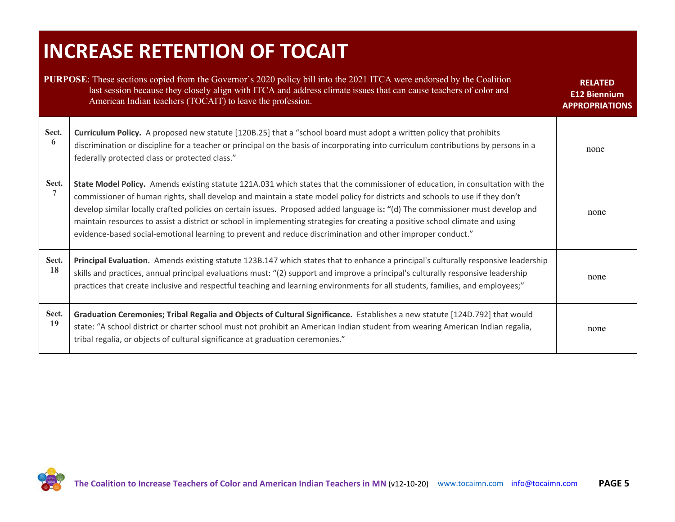# **INCREASE RETENTION OF TOCAIT**

|                         | <b>PURPOSE:</b> These sections copied from the Governor's 2020 policy bill into the 2021 ITCA were endorsed by the Coalition<br>last session because they closely align with ITCA and address climate issues that can cause teachers of color and<br>American Indian teachers (TOCAIT) to leave the profession.                                                                                                                                                                                                                                                                                                                                 | <b>RELATED</b><br><b>E12 Biennium</b><br><b>APPROPRIATIONS</b> |
|-------------------------|-------------------------------------------------------------------------------------------------------------------------------------------------------------------------------------------------------------------------------------------------------------------------------------------------------------------------------------------------------------------------------------------------------------------------------------------------------------------------------------------------------------------------------------------------------------------------------------------------------------------------------------------------|----------------------------------------------------------------|
| Sect.<br>6              | Curriculum Policy. A proposed new statute [120B.25] that a "school board must adopt a written policy that prohibits<br>discrimination or discipline for a teacher or principal on the basis of incorporating into curriculum contributions by persons in a<br>federally protected class or protected class."                                                                                                                                                                                                                                                                                                                                    | none                                                           |
| Sect.<br>$\overline{7}$ | State Model Policy. Amends existing statute 121A.031 which states that the commissioner of education, in consultation with the<br>commissioner of human rights, shall develop and maintain a state model policy for districts and schools to use if they don't<br>develop similar locally crafted policies on certain issues. Proposed added language is: "(d) The commissioner must develop and<br>maintain resources to assist a district or school in implementing strategies for creating a positive school climate and using<br>evidence-based social-emotional learning to prevent and reduce discrimination and other improper conduct." | none                                                           |
| Sect.<br>18             | Principal Evaluation. Amends existing statute 123B.147 which states that to enhance a principal's culturally responsive leadership<br>skills and practices, annual principal evaluations must: "(2) support and improve a principal's culturally responsive leadership<br>practices that create inclusive and respectful teaching and learning environments for all students, families, and employees;"                                                                                                                                                                                                                                         | none                                                           |
| Sect.<br>19             | Graduation Ceremonies; Tribal Regalia and Objects of Cultural Significance. Establishes a new statute [124D.792] that would<br>state: "A school district or charter school must not prohibit an American Indian student from wearing American Indian regalia,<br>tribal regalia, or objects of cultural significance at graduation ceremonies."                                                                                                                                                                                                                                                                                                 | none                                                           |

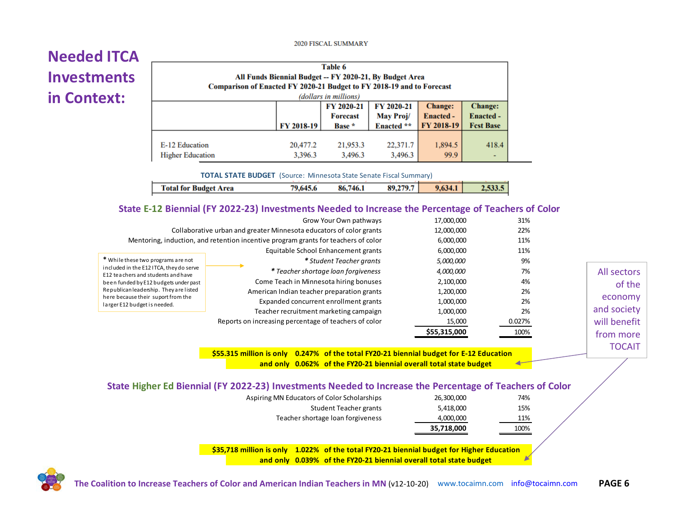#### 2020 FISCAL SUMMARY

#### **Needed ITCA Investments in Context:**

| Table 6<br>All Funds Biennial Budget -- FY 2020-21, By Budget Area<br>Comparison of Enacted FY 2020-21 Budget to FY 2018-19 and to Forecast<br>(dollars in millions) |                     |                     |                     |                 |                                                        |
|----------------------------------------------------------------------------------------------------------------------------------------------------------------------|---------------------|---------------------|---------------------|-----------------|--------------------------------------------------------|
| <b>Change:</b><br>FY 2020-21<br>FY 2020-21<br>May Proj/<br><b>Enacted -</b><br><b>Forecast</b><br>FY 2018-19<br>FY 2018-19<br>Enacted **<br>Base *                   |                     |                     |                     |                 | <b>Change:</b><br><b>Enacted -</b><br><b>Fest Base</b> |
| E-12 Education<br><b>Higher Education</b>                                                                                                                            | 20,477.2<br>3,396.3 | 21,953.3<br>3,496.3 | 22,371.7<br>3,496.3 | 1,894.5<br>99.9 | 418.4                                                  |

**TOTAL STATE BUDGET** (Source: Minnesota State Senate Fiscal Summary)

| 89,279.7<br>Total for Budget Area<br>9,634.1<br>79.645.6<br>86,746.1 |  |  |  |
|----------------------------------------------------------------------|--|--|--|
|                                                                      |  |  |  |

#### **State E-12 Biennial (FY 2022-23) Investments Needed to Increase the Percentage of Teachers of Color**

|              | 31%    | 17,000,000   | Grow Your Own pathways                                                              |                                                                               |
|--------------|--------|--------------|-------------------------------------------------------------------------------------|-------------------------------------------------------------------------------|
|              | 22%    | 12,000,000   | Collaborative urban and greater Minnesota educators of color grants                 |                                                                               |
|              | 11%    | 6,000,000    | Mentoring, induction, and retention incentive program grants for teachers of color  |                                                                               |
|              | 11%    | 6,000,000    | Equitable School Enhancement grants                                                 |                                                                               |
|              | 9%     | 5,000,000    | * Student Teacher grants                                                            | * While these two programs are not                                            |
| All sectors  | 7%     | 4,000,000    | * Teacher shortage loan forgiveness                                                 | included in the E12 ITCA, they do serve<br>E12 teachers and students and have |
| of the       | 4%     | 2,100,000    | Come Teach in Minnesota hiring bonuses                                              | been funded by E12 budgets under past                                         |
|              | 2%     | 1,200,000    | American Indian teacher preparation grants<br>Expanded concurrent enrollment grants | Republican leadership. They are listed                                        |
| economy      | 2%     | 1,000,000    |                                                                                     | here because their suport from the<br>larger E12 budget is needed.            |
| and society  | 2%     | 1,000,000    | Teacher recruitment marketing campaign                                              |                                                                               |
| will benefit | 0.027% | 15,000       | Reports on increasing percentage of teachers of color                               |                                                                               |
| from more    | 100%   | \$55,315,000 |                                                                                     |                                                                               |

**\$55.315 million is only 0.247% of the total FY20-21 biennial budget for E-12 Education and only 0.062% of the FY20-21 biennial overall total state budget** 

| of the        |
|---------------|
| economy       |
| and society   |
| will benefit  |
| from more     |
| <b>TOCAIT</b> |
|               |

| State Higher Ed Biennial (FY 2022-23) Investments Needed to Increase the Percentage of Teachers of Color |                                             |            |  |
|----------------------------------------------------------------------------------------------------------|---------------------------------------------|------------|--|
|                                                                                                          | Acniring MN Educators of Color Scholarshins | 26.200.000 |  |

|                                             | 35,718,000 | 100% |
|---------------------------------------------|------------|------|
| Teacher shortage loan forgiveness           | 4,000,000  | 11%  |
| Student Teacher grants                      | 5.418.000  | 15%  |
| Aspiring MN Educators of Color Scholarships | 26,300,000 | 74%  |

**\$35,718 million is only 1.022% of the total FY20-21 biennial budget for Higher Education and only 0.039% of the FY20-21 biennial overall total state budget**